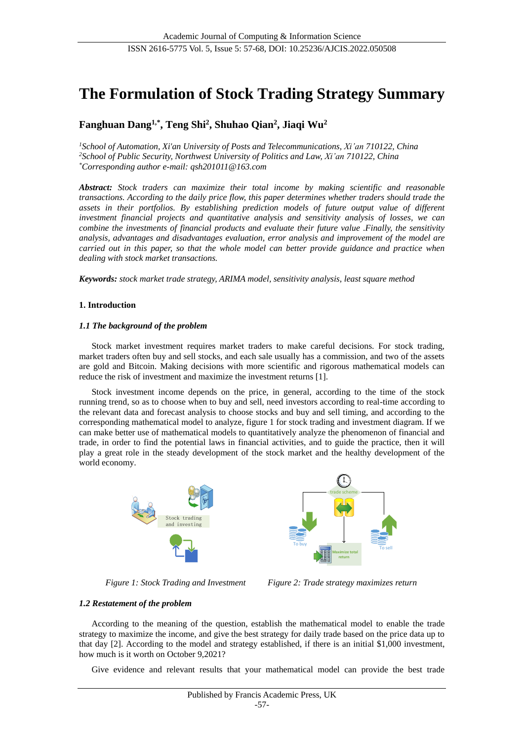# **The Formulation of Stock Trading Strategy Summary**

# **Fanghuan Dang1,\* , Teng Shi<sup>2</sup> , Shuhao Qian<sup>2</sup> , Jiaqi Wu<sup>2</sup>**

*<sup>1</sup>School of Automation, Xi'an University of Posts and Telecommunications, Xi'an 710122, China <sup>2</sup>School of Public Security, Northwest University of Politics and Law, Xi'an 710122, China \*Corresponding author e-mail: qsh201011@163.com*

*Abstract: Stock traders can maximize their total income by making scientific and reasonable transactions. According to the daily price flow, this paper determines whether traders should trade the assets in their portfolios. By establishing prediction models of future output value of different investment financial projects and quantitative analysis and sensitivity analysis of losses, we can combine the investments of financial products and evaluate their future value .Finally, the sensitivity analysis, advantages and disadvantages evaluation, error analysis and improvement of the model are carried out in this paper, so that the whole model can better provide guidance and practice when dealing with stock market transactions.*

*Keywords: stock market trade strategy, ARIMA model, sensitivity analysis, least square method*

# **1. Introduction**

# *1.1 The background of the problem*

Stock market investment requires market traders to make careful decisions. For stock trading, market traders often buy and sell stocks, and each sale usually has a commission, and two of the assets are gold and Bitcoin. Making decisions with more scientific and rigorous mathematical models can reduce the risk of investment and maximize the investment returns [1].

Stock investment income depends on the price, in general, according to the time of the stock running trend, so as to choose when to buy and sell, need investors according to real-time according to the relevant data and forecast analysis to choose stocks and buy and sell timing, and according to the corresponding mathematical model to analyze, figure 1 for stock trading and investment diagram. If we can make better use of mathematical models to quantitatively analyze the phenomenon of financial and trade, in order to find the potential laws in financial activities, and to guide the practice, then it will play a great role in the steady development of the stock market and the healthy development of the world economy.





*Figure 1: Stock Trading and Investment Figure 2: Trade strategy maximizes return*

# *1.2 Restatement of the problem*

According to the meaning of the question, establish the mathematical model to enable the trade strategy to maximize the income, and give the best strategy for daily trade based on the price data up to that day [2]. According to the model and strategy established, if there is an initial \$1,000 investment, how much is it worth on October 9,2021?

Give evidence and relevant results that your mathematical model can provide the best trade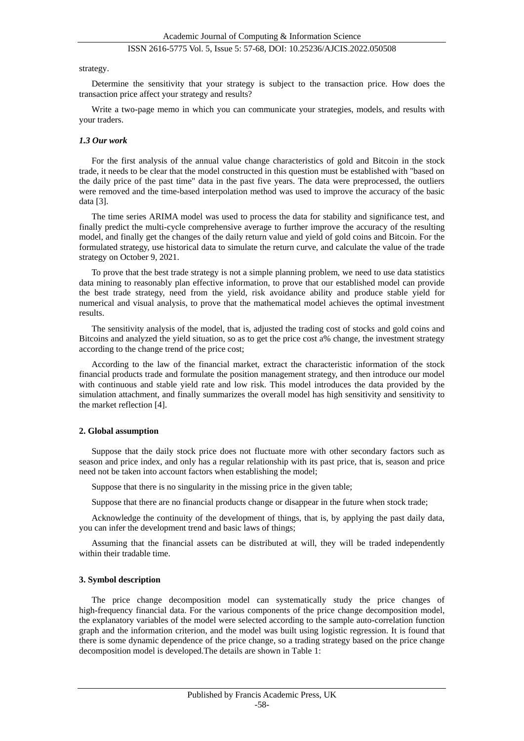#### strategy.

Determine the sensitivity that your strategy is subject to the transaction price. How does the transaction price affect your strategy and results?

Write a two-page memo in which you can communicate your strategies, models, and results with your traders.

#### *1.3 Our work*

For the first analysis of the annual value change characteristics of gold and Bitcoin in the stock trade, it needs to be clear that the model constructed in this question must be established with "based on the daily price of the past time" data in the past five years. The data were preprocessed, the outliers were removed and the time-based interpolation method was used to improve the accuracy of the basic data [3].

The time series ARIMA model was used to process the data for stability and significance test, and finally predict the multi-cycle comprehensive average to further improve the accuracy of the resulting model, and finally get the changes of the daily return value and yield of gold coins and Bitcoin. For the formulated strategy, use historical data to simulate the return curve, and calculate the value of the trade strategy on October 9, 2021.

To prove that the best trade strategy is not a simple planning problem, we need to use data statistics data mining to reasonably plan effective information, to prove that our established model can provide the best trade strategy, need from the yield, risk avoidance ability and produce stable yield for numerical and visual analysis, to prove that the mathematical model achieves the optimal investment results.

The sensitivity analysis of the model, that is, adjusted the trading cost of stocks and gold coins and Bitcoins and analyzed the yield situation, so as to get the price cost a% change, the investment strategy according to the change trend of the price cost;

According to the law of the financial market, extract the characteristic information of the stock financial products trade and formulate the position management strategy, and then introduce our model with continuous and stable yield rate and low risk. This model introduces the data provided by the simulation attachment, and finally summarizes the overall model has high sensitivity and sensitivity to the market reflection [4].

#### **2. Global assumption**

Suppose that the daily stock price does not fluctuate more with other secondary factors such as season and price index, and only has a regular relationship with its past price, that is, season and price need not be taken into account factors when establishing the model;

Suppose that there is no singularity in the missing price in the given table;

Suppose that there are no financial products change or disappear in the future when stock trade;

Acknowledge the continuity of the development of things, that is, by applying the past daily data, you can infer the development trend and basic laws of things;

Assuming that the financial assets can be distributed at will, they will be traded independently within their tradable time.

#### **3. Symbol description**

The price change decomposition model can systematically study the price changes of high-frequency financial data. For the various components of the price change decomposition model, the explanatory variables of the model were selected according to the sample auto-correlation function graph and the information criterion, and the model was built using logistic regression. It is found that there is some dynamic dependence of the price change, so a trading strategy based on the price change decomposition model is developed.The details are shown in Table 1: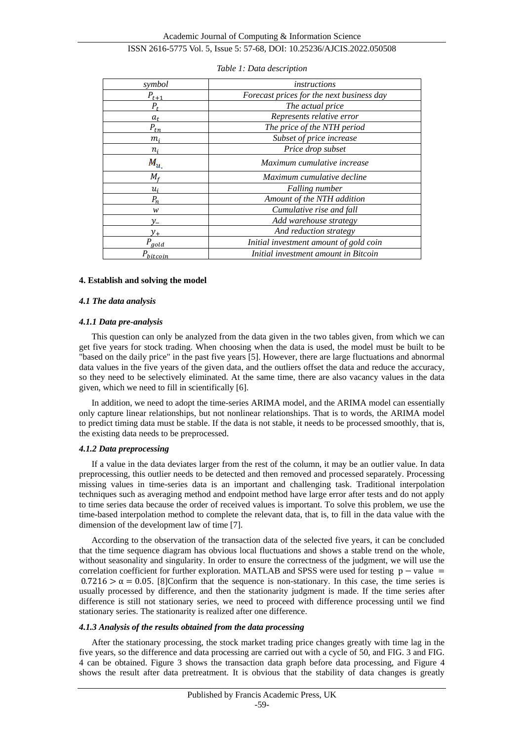Academic Journal of Computing & Information Science

# ISSN 2616-5775 Vol. 5, Issue 5: 57-68, DOI: 10.25236/AJCIS.2022.050508

| symbol                                | instructions                              |  |  |  |  |
|---------------------------------------|-------------------------------------------|--|--|--|--|
| $P_{t\pm 1}$                          | Forecast prices for the next business day |  |  |  |  |
| $P_t$                                 | The actual price                          |  |  |  |  |
| $a_{t}$                               | Represents relative error                 |  |  |  |  |
| $P_{tn}$                              | The price of the NTH period               |  |  |  |  |
| $m_i$                                 | Subset of price increase                  |  |  |  |  |
| $n_i$                                 | Price drop subset                         |  |  |  |  |
| $M_{\bm{u}_\perp}$                    | Maximum cumulative increase               |  |  |  |  |
| $M_{\epsilon}$                        | Maximum cumulative decline                |  |  |  |  |
| $u_i$                                 | <b>Falling number</b>                     |  |  |  |  |
| $P_n$                                 | Amount of the NTH addition                |  |  |  |  |
| w                                     | Cumulative rise and fall                  |  |  |  |  |
| $v_{-}$                               | Add warehouse strategy                    |  |  |  |  |
|                                       | And reduction strategy                    |  |  |  |  |
| $P_{a o \underline{l} \underline{d}}$ | Initial investment amount of gold coin    |  |  |  |  |
| $\bm{\mathit{P}}$ hitcoin             | Initial investment amount in Bitcoin      |  |  |  |  |

#### *Table 1: Data description*

### **4. Establish and solving the model**

#### *4.1 The data analysis*

# *4.1.1 Data pre-analysis*

This question can only be analyzed from the data given in the two tables given, from which we can get five years for stock trading. When choosing when the data is used, the model must be built to be "based on the daily price" in the past five years [5]. However, there are large fluctuations and abnormal data values in the five years of the given data, and the outliers offset the data and reduce the accuracy, so they need to be selectively eliminated. At the same time, there are also vacancy values in the data given, which we need to fill in scientifically [6].

In addition, we need to adopt the time-series ARIMA model, and the ARIMA model can essentially only capture linear relationships, but not nonlinear relationships. That is to words, the ARIMA model to predict timing data must be stable. If the data is not stable, it needs to be processed smoothly, that is, the existing data needs to be preprocessed.

# *4.1.2 Data preprocessing*

If a value in the data deviates larger from the rest of the column, it may be an outlier value. In data preprocessing, this outlier needs to be detected and then removed and processed separately. Processing missing values in time-series data is an important and challenging task. Traditional interpolation techniques such as averaging method and endpoint method have large error after tests and do not apply to time series data because the order of received values is important. To solve this problem, we use the time-based interpolation method to complete the relevant data, that is, to fill in the data value with the dimension of the development law of time [7].

According to the observation of the transaction data of the selected five years, it can be concluded that the time sequence diagram has obvious local fluctuations and shows a stable trend on the whole, without seasonality and singularity. In order to ensure the correctness of the judgment, we will use the correlation coefficient for further exploration. MATLAB and SPSS were used for testing  $p - value =$  $0.7216 > \alpha = 0.05$ . [8]Confirm that the sequence is non-stationary. In this case, the time series is usually processed by difference, and then the stationarity judgment is made. If the time series after difference is still not stationary series, we need to proceed with difference processing until we find stationary series. The stationarity is realized after one difference.

#### *4.1.3 Analysis of the results obtained from the data processing*

After the stationary processing, the stock market trading price changes greatly with time lag in the five years, so the difference and data processing are carried out with a cycle of 50, and FIG. 3 and FIG. 4 can be obtained. Figure 3 shows the transaction data graph before data processing, and Figure 4 shows the result after data pretreatment. It is obvious that the stability of data changes is greatly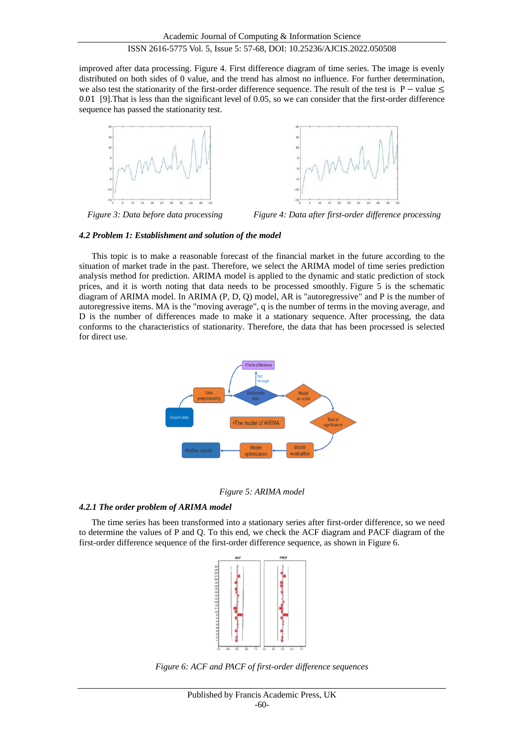improved after data processing. Figure 4. First difference diagram of time series. The image is evenly distributed on both sides of 0 value, and the trend has almost no influence. For further determination, we also test the stationarity of the first-order difference sequence. The result of the test is  $P - value \le$ 0.01 [9].That is less than the significant level of 0.05, so we can consider that the first-order difference sequence has passed the stationarity test.





*Figure 3: Data before data processing Figure 4: Data after first-order difference processing*

# *4.2 Problem 1: Establishment and solution of the model*

This topic is to make a reasonable forecast of the financial market in the future according to the situation of market trade in the past. Therefore, we select the ARIMA model of time series prediction analysis method for prediction. ARIMA model is applied to the dynamic and static prediction of stock prices, and it is worth noting that data needs to be processed smoothly. Figure 5 is the schematic diagram of ARIMA model. In ARIMA (P, D, Q) model, AR is "autoregressive" and P is the number of autoregressive items. MA is the "moving average", q is the number of terms in the moving average, and D is the number of differences made to make it a stationary sequence. After processing, the data conforms to the characteristics of stationarity. Therefore, the data that has been processed is selected for direct use.



*Figure 5: ARIMA model*

# *4.2.1 The order problem of ARIMA model*

The time series has been transformed into a stationary series after first-order difference, so we need to determine the values of P and Q. To this end, we check the ACF diagram and PACF diagram of the first-order difference sequence of the first-order difference sequence, as shown in Figure 6.



*Figure 6: ACF and PACF of first-order difference sequences*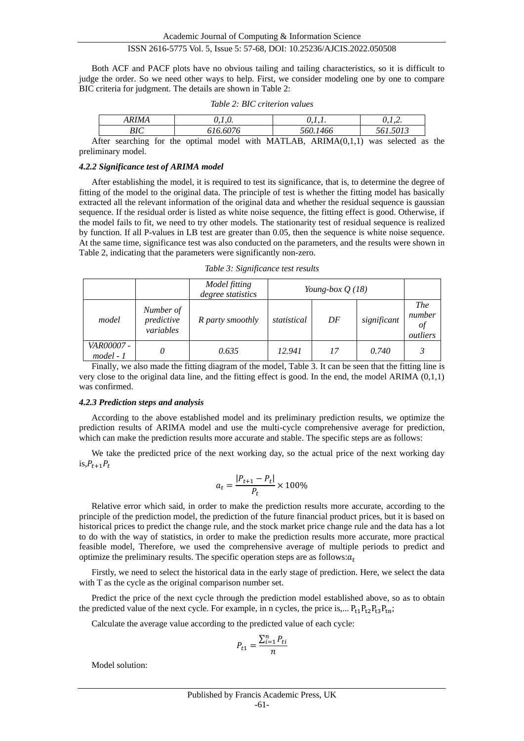Academic Journal of Computing & Information Science

# ISSN 2616-5775 Vol. 5, Issue 5: 57-68, DOI: 10.25236/AJCIS.2022.050508

Both ACF and PACF plots have no obvious tailing and tailing characteristics, so it is difficult to judge the order. So we need other ways to help. First, we consider modeling one by one to compare BIC criteria for judgment. The details are shown in Table 2:

|     | <i><b>RIMA</b></i> | v, 1, v.                                                | .        |                                |  |
|-----|--------------------|---------------------------------------------------------|----------|--------------------------------|--|
| ר ת |                    | 616.6076                                                | 560.1466 | .5013                          |  |
|     |                    | $A$ ftor searching for the entimal model with MATI $AB$ |          | $ADIMA(0.1.1)$ wee solooted as |  |

*Table 2: BIC criterion values*

After searching for the optimal model with MATLAB,  $ARIMA(0,1,1)$  was selected as the preliminary model.

#### *4.2.2 Significance test of ARIMA model*

After establishing the model, it is required to test its significance, that is, to determine the degree of fitting of the model to the original data. The principle of test is whether the fitting model has basically extracted all the relevant information of the original data and whether the residual sequence is gaussian sequence. If the residual order is listed as white noise sequence, the fitting effect is good. Otherwise, if the model fails to fit, we need to try other models. The stationarity test of residual sequence is realized by function. If all P-values in LB test are greater than 0.05, then the sequence is white noise sequence. At the same time, significance test was also conducted on the parameters, and the results were shown in Table 2, indicating that the parameters were significantly non-zero.

*Table 3: Significance test results*

|                                  |                                      | Model fitting<br>degree statistics | Young-box $Q(18)$ |    |             |                                        |
|----------------------------------|--------------------------------------|------------------------------------|-------------------|----|-------------|----------------------------------------|
| model                            | Number of<br>predictive<br>variables | R party smoothly                   | statistical       | DF | significant | <i>The</i><br>number<br>01<br>outliers |
| <i>VAR00007 -</i><br>$model - 1$ |                                      | 0.635                              | 12.941            | 17 | 0.740       |                                        |

Finally, we also made the fitting diagram of the model, Table 3. It can be seen that the fitting line is very close to the original data line, and the fitting effect is good. In the end, the model ARIMA (0,1,1) was confirmed.

#### *4.2.3 Prediction steps and analysis*

According to the above established model and its preliminary prediction results, we optimize the prediction results of ARIMA model and use the multi-cycle comprehensive average for prediction, which can make the prediction results more accurate and stable. The specific steps are as follows:

We take the predicted price of the next working day, so the actual price of the next working day is, $P_{t+1}P_t$ 

$$
a_t = \frac{|P_{t+1} - P_t|}{P_t} \times 100\%
$$

Relative error which said, in order to make the prediction results more accurate, according to the principle of the prediction model, the prediction of the future financial product prices, but it is based on historical prices to predict the change rule, and the stock market price change rule and the data has a lot to do with the way of statistics, in order to make the prediction results more accurate, more practical feasible model, Therefore, we used the comprehensive average of multiple periods to predict and optimize the preliminary results. The specific operation steps are as follows:  $a_t$ 

Firstly, we need to select the historical data in the early stage of prediction. Here, we select the data with T as the cycle as the original comparison number set.

Predict the price of the next cycle through the prediction model established above, so as to obtain the predicted value of the next cycle. For example, in n cycles, the price is,...  $P_{t1}P_{t2}P_{t3}P_{tn}$ ;

Calculate the average value according to the predicted value of each cycle:

$$
P_{t1} = \frac{\sum_{i=1}^{n} P_{ti}}{n}
$$

Model solution: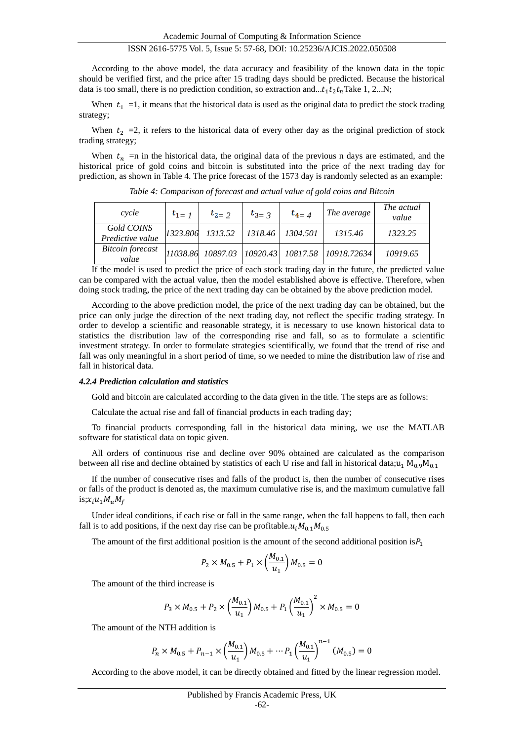According to the above model, the data accuracy and feasibility of the known data in the topic should be verified first, and the price after 15 trading days should be predicted. Because the historical data is too small, there is no prediction condition, so extraction and... $t_1 t_2 t_n$ Take 1, 2...N;

When  $t_1 = 1$ , it means that the historical data is used as the original data to predict the stock trading strategy;

When  $t_2 = 2$ , it refers to the historical data of every other day as the original prediction of stock trading strategy;

When  $t_n$  =n in the historical data, the original data of the previous n days are estimated, and the historical price of gold coins and bitcoin is substituted into the price of the next trading day for prediction, as shown in Table 4. The price forecast of the 1573 day is randomly selected as an example:

| cycle                            | $t_{1}$ $1$ | $t_{2}$ $\rightarrow$ | The average<br>$t_{3}$ $\frac{1}{3}$<br>$t_{4-4}$ |                    | The actual<br>value                             |          |
|----------------------------------|-------------|-----------------------|---------------------------------------------------|--------------------|-------------------------------------------------|----------|
| Gold COINS<br>Predictive value   | 1323.806    | 1313.52               |                                                   | 1318.46   1304.501 | 1315.46                                         | 1323.25  |
| <b>Bitcoin</b> forecast<br>value |             |                       |                                                   |                    | 11038.86 10897.03 10920.43 10817.58 10918.72634 | 10919.65 |

*Table 4: Comparison of forecast and actual value of gold coins and Bitcoin*

If the model is used to predict the price of each stock trading day in the future, the predicted value can be compared with the actual value, then the model established above is effective. Therefore, when doing stock trading, the price of the next trading day can be obtained by the above prediction model.

According to the above prediction model, the price of the next trading day can be obtained, but the price can only judge the direction of the next trading day, not reflect the specific trading strategy. In order to develop a scientific and reasonable strategy, it is necessary to use known historical data to statistics the distribution law of the corresponding rise and fall, so as to formulate a scientific investment strategy. In order to formulate strategies scientifically, we found that the trend of rise and fall was only meaningful in a short period of time, so we needed to mine the distribution law of rise and fall in historical data.

#### *4.2.4 Prediction calculation and statistics*

Gold and bitcoin are calculated according to the data given in the title. The steps are as follows:

Calculate the actual rise and fall of financial products in each trading day;

To financial products corresponding fall in the historical data mining, we use the MATLAB software for statistical data on topic given.

All orders of continuous rise and decline over 90% obtained are calculated as the comparison between all rise and decline obtained by statistics of each U rise and fall in historical data;u<sub>1</sub> M<sub>0.9</sub>M<sub>0.1</sub>

If the number of consecutive rises and falls of the product is, then the number of consecutive rises or falls of the product is denoted as, the maximum cumulative rise is, and the maximum cumulative fall is; $x_i u_1 M_u M_f$ 

Under ideal conditions, if each rise or fall in the same range, when the fall happens to fall, then each fall is to add positions, if the next day rise can be profitable. $u_i M_{0.1} M_{0.5}$ 

The amount of the first additional position is the amount of the second additional position is $P_1$ 

$$
P_2 \times M_{0.5} + P_1 \times \left(\frac{M_{0.1}}{u_1}\right) M_{0.5} = 0
$$

The amount of the third increase is

$$
P_3 \times M_{0.5} + P_2 \times \left(\frac{M_{0.1}}{u_1}\right) M_{0.5} + P_1 \left(\frac{M_{0.1}}{u_1}\right)^2 \times M_{0.5} = 0
$$

The amount of the NTH addition is

$$
P_n \times M_{0.5} + P_{n-1} \times \left(\frac{M_{0.1}}{u_1}\right) M_{0.5} + \dots + P_1 \left(\frac{M_{0.1}}{u_1}\right)^{n-1} (M_{0.5}) = 0
$$

According to the above model, it can be directly obtained and fitted by the linear regression model.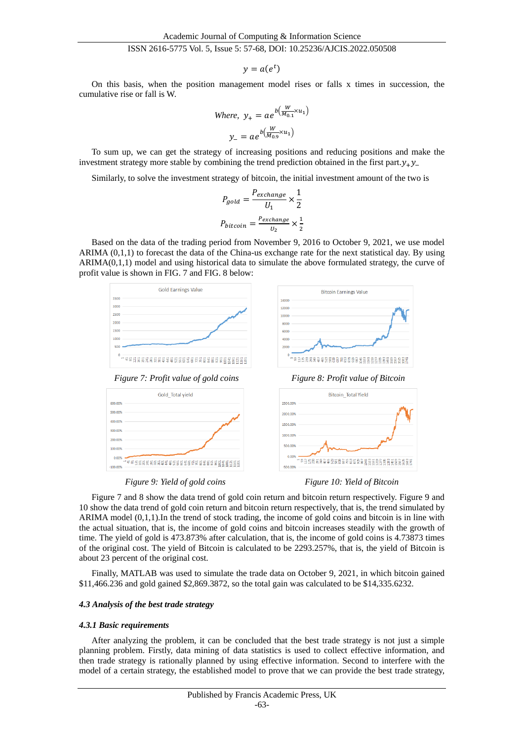$$
y=a(e^t)
$$

On this basis, when the position management model rises or falls x times in succession, the cumulative rise or fall is W.

Where, 
$$
y_+ = ae^{b(\frac{W}{M_{0.1}} \times u_1)}
$$
  
 $y_- = ae^{b(\frac{W}{M_{0.9}} \times u_1)}$ 

To sum up, we can get the strategy of increasing positions and reducing positions and make the investment strategy more stable by combining the trend prediction obtained in the first part. $v_+v_-$ 

Similarly, to solve the investment strategy of bitcoin, the initial investment amount of the two is

$$
P_{gold} = \frac{P_{exchange}}{U_1} \times \frac{1}{2}
$$

$$
P_{bitcoin} = \frac{P_{exchange}}{U_2} \times \frac{1}{2}
$$

Based on the data of the trading period from November 9, 2016 to October 9, 2021, we use model ARIMA (0,1,1) to forecast the data of the China-us exchange rate for the next statistical day. By using ARIMA(0,1,1) model and using historical data to simulate the above formulated strategy, the curve of profit value is shown in FIG. 7 and FIG. 8 below:



*Figure 9: Yield of gold coins Figure 10: Yield of Bitcoin*

Figure 7 and 8 show the data trend of gold coin return and bitcoin return respectively. Figure 9 and 10 show the data trend of gold coin return and bitcoin return respectively, that is, the trend simulated by ARIMA model (0,1,1).In the trend of stock trading, the income of gold coins and bitcoin is in line with the actual situation, that is, the income of gold coins and bitcoin increases steadily with the growth of time. The yield of gold is 473.873% after calculation, that is, the income of gold coins is 4.73873 times of the original cost. The yield of Bitcoin is calculated to be 2293.257%, that is, the yield of Bitcoin is about 23 percent of the original cost.

Finally, MATLAB was used to simulate the trade data on October 9, 2021, in which bitcoin gained \$11,466.236 and gold gained \$2,869.3872, so the total gain was calculated to be \$14,335.6232.

#### *4.3 Analysis of the best trade strategy*

#### *4.3.1 Basic requirements*

After analyzing the problem, it can be concluded that the best trade strategy is not just a simple planning problem. Firstly, data mining of data statistics is used to collect effective information, and then trade strategy is rationally planned by using effective information. Second to interfere with the model of a certain strategy, the established model to prove that we can provide the best trade strategy,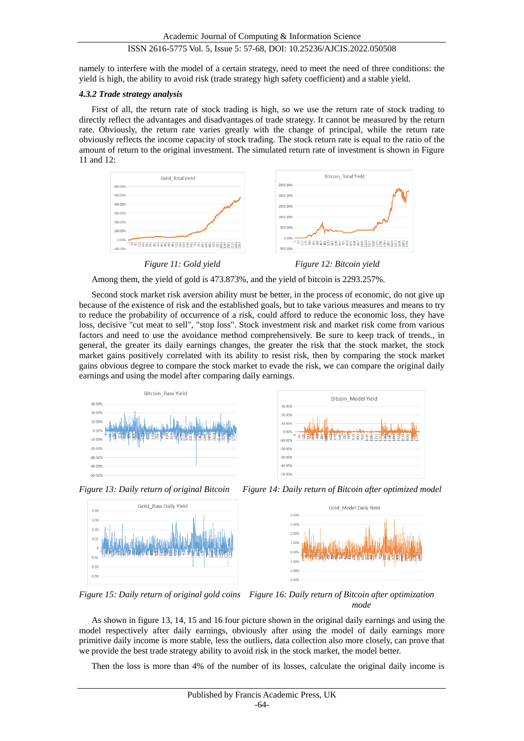namely to interfere with the model of a certain strategy, need to meet the need of three conditions: the yield is high, the ability to avoid risk (trade strategy high safety coefficient) and a stable yield.

# *4.3.2 Trade strategy analysis*

First of all, the return rate of stock trading is high, so we use the return rate of stock trading to directly reflect the advantages and disadvantages of trade strategy. It cannot be measured by the return rate. Obviously, the return rate varies greatly with the change of principal, while the return rate obviously reflects the income capacity of stock trading. The stock return rate is equal to the ratio of the amount of return to the original investment. The simulated return rate of investment is shown in Figure 11 and 12:



Among them, the yield of gold is 473.873%, and the yield of bitcoin is 2293.257%.

Second stock market risk aversion ability must be better, in the process of economic, do not give up because of the existence of risk and the established goals, but to take various measures and means to try to reduce the probability of occurrence of a risk, could afford to reduce the economic loss, they have loss, decisive "cut meat to sell", "stop loss". Stock investment risk and market risk come from various factors and need to use the avoidance method comprehensively. Be sure to keep track of trends., in general, the greater its daily earnings changes, the greater the risk that the stock market, the stock market gains positively correlated with its ability to resist risk, then by comparing the stock market gains obvious degree to compare the stock market to evade the risk, we can compare the original daily earnings and using the model after comparing daily earnings.







*Figure 13: Daily return of original Bitcoin Figure 14: Daily return of Bitcoin after optimized model*



*Figure 15: Daily return of original gold coins Figure 16: Daily return of Bitcoin after optimization mode*

As shown in figure 13, 14, 15 and 16 four picture shown in the original daily earnings and using the model respectively after daily earnings, obviously after using the model of daily earnings more primitive daily income is more stable, less the outliers, data collection also more closely, can prove that we provide the best trade strategy ability to avoid risk in the stock market, the model better.

Then the loss is more than 4% of the number of its losses, calculate the original daily income is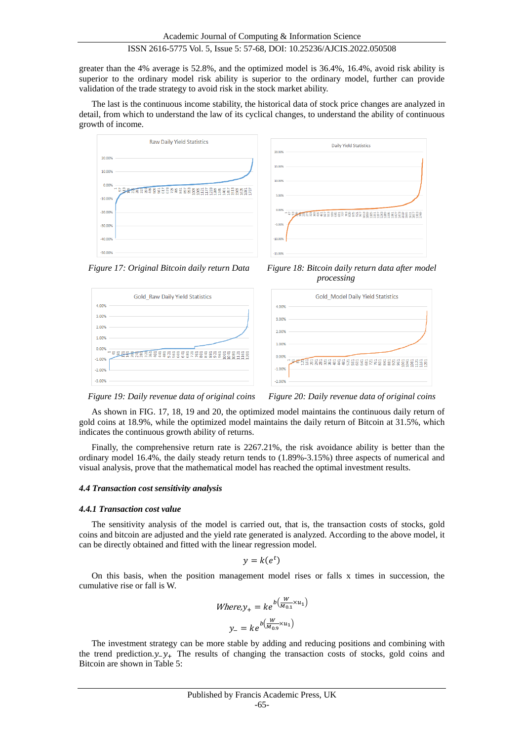greater than the 4% average is 52.8%, and the optimized model is 36.4%, 16.4%, avoid risk ability is superior to the ordinary model risk ability is superior to the ordinary model, further can provide validation of the trade strategy to avoid risk in the stock market ability.

The last is the continuous income stability, the historical data of stock price changes are analyzed in detail, from which to understand the law of its cyclical changes, to understand the ability of continuous growth of income.











 *Figure 19: Daily revenue data of original coins Figure 20: Daily revenue data of original coins*

As shown in FIG. 17, 18, 19 and 20, the optimized model maintains the continuous daily return of gold coins at 18.9%, while the optimized model maintains the daily return of Bitcoin at 31.5%, which indicates the continuous growth ability of returns.

Finally, the comprehensive return rate is 2267.21%, the risk avoidance ability is better than the ordinary model 16.4%, the daily steady return tends to (1.89%-3.15%) three aspects of numerical and visual analysis, prove that the mathematical model has reached the optimal investment results.

#### *4.4 Transaction cost sensitivity analysis*

#### *4.4.1 Transaction cost value*

The sensitivity analysis of the model is carried out, that is, the transaction costs of stocks, gold coins and bitcoin are adjusted and the yield rate generated is analyzed. According to the above model, it can be directly obtained and fitted with the linear regression model.

$$
y=k(e^t)
$$

On this basis, when the position management model rises or falls x times in succession, the cumulative rise or fall is W.

Where
$$
y_+ = ke^{b(\frac{W}{M_{0.1}} \times u_1)}
$$
  
 $y_- = ke^{b(\frac{W}{M_{0.9}} \times u_1)}$ 

The investment strategy can be more stable by adding and reducing positions and combining with the trend prediction. $y_+ y_+$ . The results of changing the transaction costs of stocks, gold coins and Bitcoin are shown in Table 5: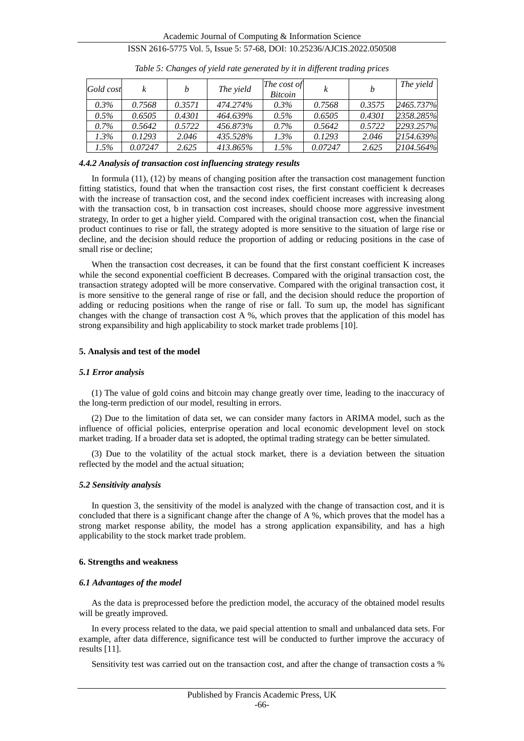| Gold cost | k       | b      | The yield | The cost of<br><i>Bitcoin</i> |         |        | The yield |
|-----------|---------|--------|-----------|-------------------------------|---------|--------|-----------|
| $0.3\%$   | 0.7568  | 0.3571 | 474.274%  | $0.3\%$                       | 0.7568  | 0.3575 | 2465.737% |
| $0.5\%$   | 0.6505  | 0.4301 | 464.639%  | $0.5\%$                       | 0.6505  | 0.4301 | 2358.285% |
| $0.7\%$   | 0.5642  | 0.5722 | 456.873%  | $0.7\%$                       | 0.5642  | 0.5722 | 2293.257% |
| $1.3\%$   | 0.1293  | 2.046  | 435.528%  | $1.3\%$                       | 0.1293  | 2.046  | 2154.639% |
| $1.5\%$   | 0.07247 | 2.625  | 413.865%  | $1.5\%$                       | 0.07247 | 2.625  | 2104.564% |

*Table 5: Changes of yield rate generated by it in different trading prices*

#### *4.4.2 Analysis of transaction cost influencing strategy results*

In formula (11), (12) by means of changing position after the transaction cost management function fitting statistics, found that when the transaction cost rises, the first constant coefficient k decreases with the increase of transaction cost, and the second index coefficient increases with increasing along with the transaction cost, b in transaction cost increases, should choose more aggressive investment strategy, In order to get a higher yield. Compared with the original transaction cost, when the financial product continues to rise or fall, the strategy adopted is more sensitive to the situation of large rise or decline, and the decision should reduce the proportion of adding or reducing positions in the case of small rise or decline;

When the transaction cost decreases, it can be found that the first constant coefficient K increases while the second exponential coefficient B decreases. Compared with the original transaction cost, the transaction strategy adopted will be more conservative. Compared with the original transaction cost, it is more sensitive to the general range of rise or fall, and the decision should reduce the proportion of adding or reducing positions when the range of rise or fall. To sum up, the model has significant changes with the change of transaction cost  $\overline{A}$  %, which proves that the application of this model has strong expansibility and high applicability to stock market trade problems [10].

### **5. Analysis and test of the model**

#### *5.1 Error analysis*

(1) The value of gold coins and bitcoin may change greatly over time, leading to the inaccuracy of the long-term prediction of our model, resulting in errors.

(2) Due to the limitation of data set, we can consider many factors in ARIMA model, such as the influence of official policies, enterprise operation and local economic development level on stock market trading. If a broader data set is adopted, the optimal trading strategy can be better simulated.

(3) Due to the volatility of the actual stock market, there is a deviation between the situation reflected by the model and the actual situation;

#### *5.2 Sensitivity analysis*

In question 3, the sensitivity of the model is analyzed with the change of transaction cost, and it is concluded that there is a significant change after the change of A %, which proves that the model has a strong market response ability, the model has a strong application expansibility, and has a high applicability to the stock market trade problem.

# **6. Strengths and weakness**

#### *6.1 Advantages of the model*

As the data is preprocessed before the prediction model, the accuracy of the obtained model results will be greatly improved.

In every process related to the data, we paid special attention to small and unbalanced data sets. For example, after data difference, significance test will be conducted to further improve the accuracy of results [11].

Sensitivity test was carried out on the transaction cost, and after the change of transaction costs a %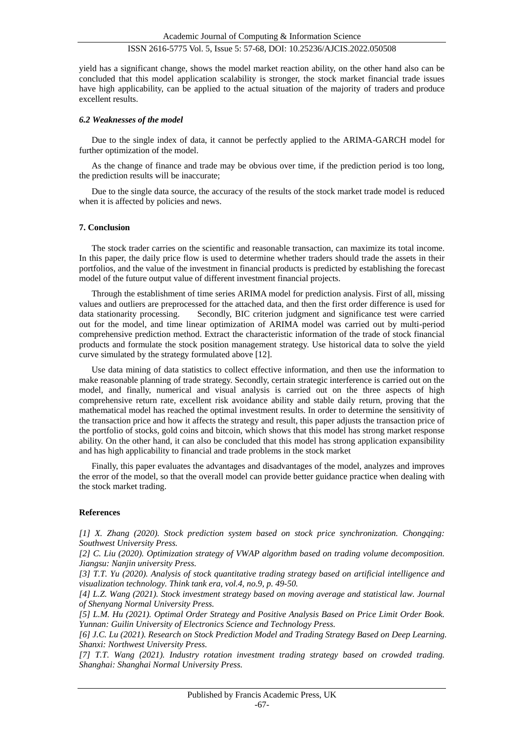yield has a significant change, shows the model market reaction ability, on the other hand also can be concluded that this model application scalability is stronger, the stock market financial trade issues have high applicability, can be applied to the actual situation of the majority of traders and produce excellent results.

#### *6.2 Weaknesses of the model*

Due to the single index of data, it cannot be perfectly applied to the ARIMA-GARCH model for further optimization of the model.

As the change of finance and trade may be obvious over time, if the prediction period is too long, the prediction results will be inaccurate;

Due to the single data source, the accuracy of the results of the stock market trade model is reduced when it is affected by policies and news.

#### **7. Conclusion**

The stock trader carries on the scientific and reasonable transaction, can maximize its total income. In this paper, the daily price flow is used to determine whether traders should trade the assets in their portfolios, and the value of the investment in financial products is predicted by establishing the forecast model of the future output value of different investment financial projects.

Through the establishment of time series ARIMA model for prediction analysis. First of all, missing values and outliers are preprocessed for the attached data, and then the first order difference is used for data stationarity processing. Secondly, BIC criterion judgment and significance test were carried out for the model, and time linear optimization of ARIMA model was carried out by multi-period comprehensive prediction method. Extract the characteristic information of the trade of stock financial products and formulate the stock position management strategy. Use historical data to solve the yield curve simulated by the strategy formulated above [12].

Use data mining of data statistics to collect effective information, and then use the information to make reasonable planning of trade strategy. Secondly, certain strategic interference is carried out on the model, and finally, numerical and visual analysis is carried out on the three aspects of high comprehensive return rate, excellent risk avoidance ability and stable daily return, proving that the mathematical model has reached the optimal investment results. In order to determine the sensitivity of the transaction price and how it affects the strategy and result, this paper adjusts the transaction price of the portfolio of stocks, gold coins and bitcoin, which shows that this model has strong market response ability. On the other hand, it can also be concluded that this model has strong application expansibility and has high applicability to financial and trade problems in the stock market

Finally, this paper evaluates the advantages and disadvantages of the model, analyzes and improves the error of the model, so that the overall model can provide better guidance practice when dealing with the stock market trading.

#### **References**

*[1] X. Zhang (2020). Stock prediction system based on stock price synchronization. Chongqing: Southwest University Press.*

*[2] C. Liu (2020). Optimization strategy of VWAP algorithm based on trading volume decomposition. Jiangsu: Nanjin university Press.*

*[3] T.T. Yu (2020). Analysis of stock quantitative trading strategy based on artificial intelligence and visualization technology. Think tank era, vol.4, no.9, p. 49-50.*

*[4] L.Z. Wang (2021). Stock investment strategy based on moving average and statistical law. Journal of Shenyang Normal University Press.*

*[5] L.M. Hu (2021). Optimal Order Strategy and Positive Analysis Based on Price Limit Order Book. Yunnan: Guilin University of Electronics Science and Technology Press.*

*[6] J.C. Lu (2021). Research on Stock Prediction Model and Trading Strategy Based on Deep Learning. Shanxi: Northwest University Press.*

*[7] T.T. Wang (2021). Industry rotation investment trading strategy based on crowded trading. Shanghai: Shanghai Normal University Press.*